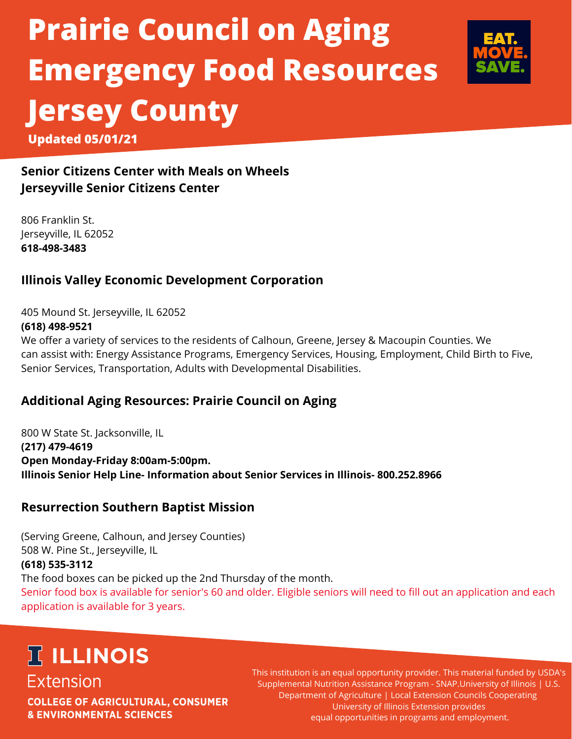# **Prairie Council on Aging Emergency Food Resources Jersey County Updated 05/01/21**



**Senior Citizens Center with Meals on Wheels Jerseyville Senior Citizens Center**

806 Franklin St. Jerseyville, IL 62052 **618-498-3483**

### **Illinois Valley Economic Development Corporation**

405 Mound St. Jerseyville, IL 62052 **(618) [498-9521](https://www.google.com/search?client=firefox-b-1-e&q=illinois%20valley%20economic%20development%20corporation%20jerseyville%20il&tbs=lf:1,lf_ui:2&tbm=lcl&sxsrf=ALeKk00wd9TkBfRLZLQES0nuybIbOswxsw:1624376226104&rflfq=1&num=10&rldimm=15869174294164280556&lqi=Cj9pbGxpbm9pcyB2YWxsZXkgZWNvbm9taWMgZGV2ZWxvcG1lbnQgY29ycG9yYXRpb24gamVyc2V5dmlsbGUgaWxIzsKi5OWAgIAIWlMQABABEAIQAxAEGAAYARgFGAYiP2lsbGlub2lzIHZhbGxleSBlY29ub21pYyBkZXZlbG9wbWVudCBjb3Jwb3JhdGlvbiBqZXJzZXl2aWxsZSBpbJIBHHNvY2lhbF9zZXJ2aWNlc19vcmdhbml6YXRpb26qATgQASo0IjBpbGxpbm9pcyB2YWxsZXkgZWNvbm9taWMgZGV2ZWxvcG1lbnQgY29ycG9yYXRpb24oAA&ved=2ahUKEwiD0cD_yKvxAhVBXM0KHczWD64QvS4wAHoECAcQOQ&rlst=f#)**

We offer a variety of services to the residents of Calhoun, Greene, Jersey & Macoupin Counties. We can assist with: Energy Assistance Programs, Emergency Services, Housing, Employment, Child Birth to Five, Senior Services, Transportation, Adults with Developmental Disabilities.

### **Additional Aging Resources: Prairie Council on Aging**

800 W State St. Jacksonville, IL **(217) 479-4619 Open Monday-Friday 8:00am-5:00pm. Illinois Senior Help Line- Information about Senior Services in Illinois- 800.252.8966**

#### **Resurrection Southern Baptist Mission**

(Serving Greene, Calhoun, and Jersey Counties) 508 W. Pine St., Jerseyville, IL **(618) 535-3112** The food boxes can be picked up the 2nd Thursday of the month.

Senior food box is available for senior's 60 and older. Eligible seniors will need to fill out an application and each application is available for 3 years.

### **IT ILLINOIS Extension**

**COLLEGE OF AGRICULTURAL, CONSUMER & ENVIRONMENTAL SCIENCES** 

This institution is an equal opportunity provider. This material funded by USDA's Supplemental Nutrition Assistance Program - SNAP.University of Illinois | U.S. Department of Agriculture | Local Extension Councils Cooperating University of Illinois Extension provides equal opportunities in programs and employment.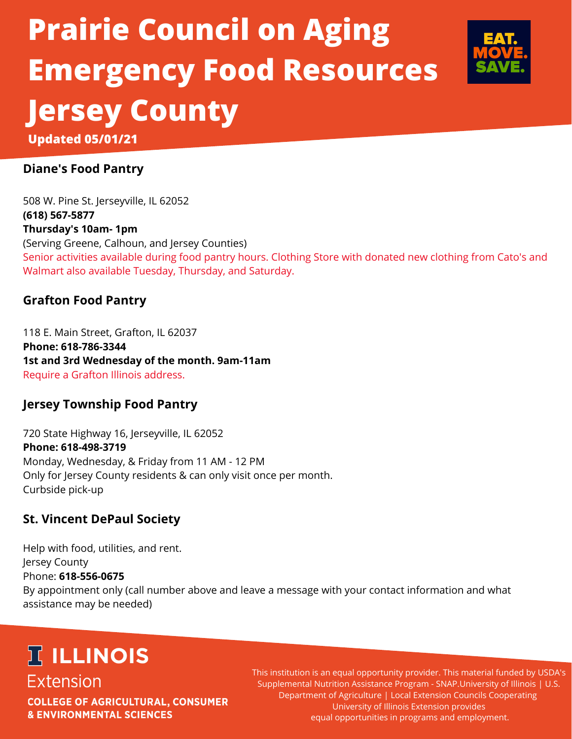# **Prairie Council on Aging Emergency Food Resources Jersey County Updated 05/01/21**



### **Diane's Food Pantry**

508 W. Pine St. Jerseyville, IL 62052 **(618) 567-5877 Thursday's 10am- 1pm** (Serving Greene, Calhoun, and Jersey Counties) Senior activities available during food pantry hours. Clothing Store with donated new clothing from Cato's and Walmart also available Tuesday, Thursday, and Saturday.

#### **Grafton Food Pantry**

118 E. Main Street, Grafton, IL 62037 **Phone: 618-786-3344 1st and 3rd Wednesday of the month. 9am-11am** Require a Grafton Illinois address.

#### **Jersey Township Food Pantry**

720 State Highway 16, Jerseyville, IL 62052 **Phone: 618-498-3719** Monday, Wednesday, & Friday from 11 AM - 12 PM Only for Jersey County residents & can only visit once per month. Curbside pick-up

#### **St. Vincent DePaul Society**

Help with food, utilities, and rent. Jersey County Phone: **618-556-0675** By appointment only (call number above and leave a message with your contact information and what assistance may be needed)

### **IT ILLINOIS**

**Extension COLLEGE OF AGRICULTURAL, CONSUMER & ENVIRONMENTAL SCIENCES** 

This institution is an equal opportunity provider. This material funded by USDA's Supplemental Nutrition Assistance Program - SNAP.University of Illinois | U.S. Department of Agriculture | Local Extension Councils Cooperating University of Illinois Extension provides equal opportunities in programs and employment.